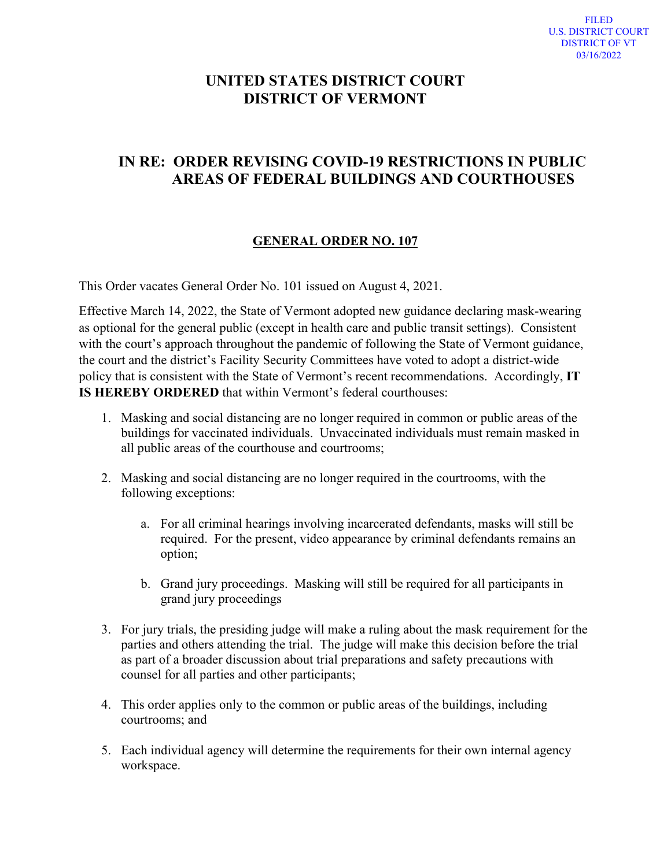## **UNITED STATES DISTRICT COURT DISTRICT OF VERMONT**

## **IN RE: ORDER REVISING COVID-19 RESTRICTIONS IN PUBLIC AREAS OF FEDERAL BUILDINGS AND COURTHOUSES**

## **GENERAL ORDER NO. 107**

This Order vacates General Order No. 101 issued on August 4, 2021.

Effective March 14, 2022, the State of Vermont adopted new guidance declaring mask-wearing as optional for the general public (except in health care and public transit settings). Consistent with the court's approach throughout the pandemic of following the State of Vermont guidance, the court and the district's Facility Security Committees have voted to adopt a district-wide policy that is consistent with the State of Vermont's recent recommendations. Accordingly, **IT IS HEREBY ORDERED** that within Vermont's federal courthouses:

- 1. Masking and social distancing are no longer required in common or public areas of the buildings for vaccinated individuals. Unvaccinated individuals must remain masked in all public areas of the courthouse and courtrooms;
- 2. Masking and social distancing are no longer required in the courtrooms, with the following exceptions:
	- a. For all criminal hearings involving incarcerated defendants, masks will still be required. For the present, video appearance by criminal defendants remains an option;
	- b. Grand jury proceedings. Masking will still be required for all participants in grand jury proceedings
- 3. For jury trials, the presiding judge will make a ruling about the mask requirement for the parties and others attending the trial. The judge will make this decision before the trial as part of a broader discussion about trial preparations and safety precautions with counsel for all parties and other participants;
- 4. This order applies only to the common or public areas of the buildings, including courtrooms; and
- 5. Each individual agency will determine the requirements for their own internal agency workspace.